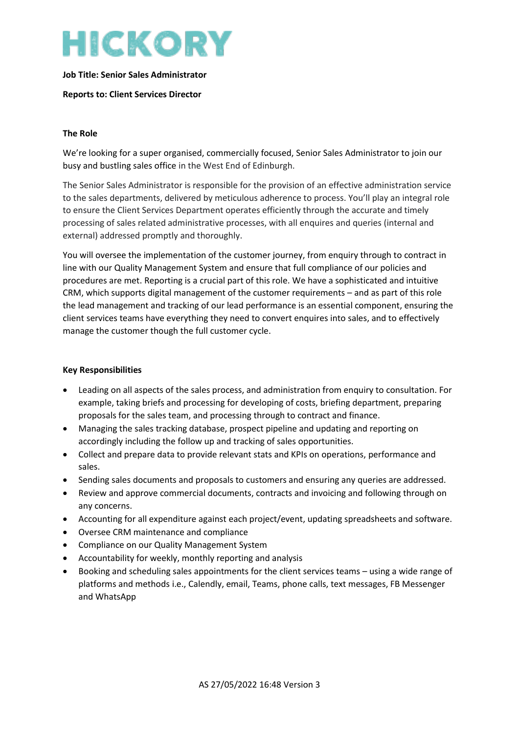

#### **Job Title: Senior Sales Administrator**

## **Reports to: Client Services Director**

## **The Role**

We're looking for a super organised, commercially focused, Senior Sales Administrator to join our busy and bustling sales office in the West End of Edinburgh.

The Senior Sales Administrator is responsible for the provision of an effective administration service to the sales departments, delivered by meticulous adherence to process. You'll play an integral role to ensure the Client Services Department operates efficiently through the accurate and timely processing of sales related administrative processes, with all enquires and queries (internal and external) addressed promptly and thoroughly.

You will oversee the implementation of the customer journey, from enquiry through to contract in line with our Quality Management System and ensure that full compliance of our policies and procedures are met. Reporting is a crucial part of this role. We have a sophisticated and intuitive CRM, which supports digital management of the customer requirements – and as part of this role the lead management and tracking of our lead performance is an essential component, ensuring the client services teams have everything they need to convert enquires into sales, and to effectively manage the customer though the full customer cycle.

# **Key Responsibilities**

- Leading on all aspects of the sales process, and administration from enquiry to consultation. For example, taking briefs and processing for developing of costs, briefing department, preparing proposals for the sales team, and processing through to contract and finance.
- Managing the sales tracking database, prospect pipeline and updating and reporting on accordingly including the follow up and tracking of sales opportunities.
- Collect and prepare data to provide relevant stats and KPIs on operations, performance and sales.
- Sending sales documents and proposals to customers and ensuring any queries are addressed.
- Review and approve commercial documents, contracts and invoicing and following through on any concerns.
- Accounting for all expenditure against each project/event, updating spreadsheets and software.
- Oversee CRM maintenance and compliance
- Compliance on our Quality Management System
- Accountability for weekly, monthly reporting and analysis
- Booking and scheduling sales appointments for the client services teams using a wide range of platforms and methods i.e., Calendly, email, Teams, phone calls, text messages, FB Messenger and WhatsApp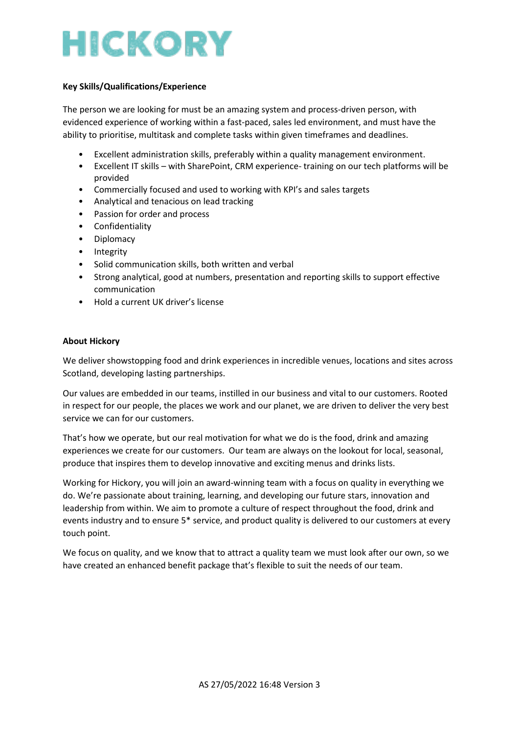

# **Key Skills/Qualifications/Experience**

The person we are looking for must be an amazing system and process-driven person, with evidenced experience of working within a fast-paced, sales led environment, and must have the ability to prioritise, multitask and complete tasks within given timeframes and deadlines.

- Excellent administration skills, preferably within a quality management environment.
- Excellent IT skills with SharePoint, CRM experience- training on our tech platforms will be provided
- Commercially focused and used to working with KPI's and sales targets
- Analytical and tenacious on lead tracking
- Passion for order and process
- Confidentiality
- Diplomacy
- Integrity
- Solid communication skills, both written and verbal
- Strong analytical, good at numbers, presentation and reporting skills to support effective communication
- Hold a current UK driver's license

# **About Hickory**

We deliver showstopping food and drink experiences in incredible venues, locations and sites across Scotland, developing lasting partnerships.

Our values are embedded in our teams, instilled in our business and vital to our customers. Rooted in respect for our people, the places we work and our planet, we are driven to deliver the very best service we can for our customers.

That's how we operate, but our real motivation for what we do is the food, drink and amazing experiences we create for our customers. Our team are always on the lookout for local, seasonal, produce that inspires them to develop innovative and exciting menus and drinks lists.

Working for Hickory, you will join an award-winning team with a focus on quality in everything we do. We're passionate about training, learning, and developing our future stars, innovation and leadership from within. We aim to promote a culture of respect throughout the food, drink and events industry and to ensure 5\* service, and product quality is delivered to our customers at every touch point.

We focus on quality, and we know that to attract a quality team we must look after our own, so we have created an enhanced benefit package that's flexible to suit the needs of our team.